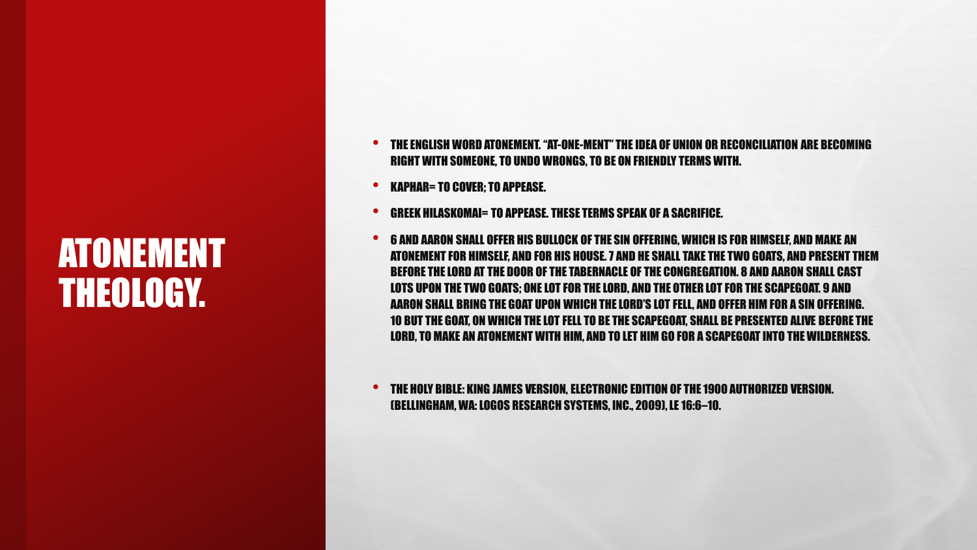### ATONEMENT THEOLOGY.

- THE ENGLISH WORD ATONEMENT. "AT-ONE-MENT" THE IDEA OF UNION OR RECONCILIATION ARE BECOMING RIGHT WITH SOMEONE, TO UNDO WRONGS, TO BE ON FRIENDLY TERMS WITH.
- KAPHAR= TO COVER; TO APPEASE.
- GREEK HILASKOMAI= TO APPEASE. THESE TERMS SPEAK OF A SACRIFICE.
- <sup>6</sup> AND AARON SHALL OFFER HIS BULLOCK OF THE SIN OFFERING, WHICH IS FOR HIMSELF, AND MAKE AN ATONEMENT FOR HIMSELF, AND FOR HIS HOUSE. 7 AND HE SHALL TAKE THE TWO GOATS, AND PRESENT THEM BEFORE THE LORD AT THE DOOR OF THE TABERNACLE OF THE CONGREGATION. 8 AND AARON SHALL CAST LOTS UPON THE TWO GOATS; ONE LOT FOR THE LORD, AND THE OTHER LOT FOR THE SCAPEGOAT. 9 AND AARON SHALL BRING THE GOAT UPON WHICH THE LORD'S LOT FELL, AND OFFER HIM FOR A SIN OFFERING. 10 BUT THE GOAT, ON WHICH THE LOT FELL TO BE THE SCAPEGOAT, SHALL BE PRESENTED ALIVE BEFORE THE LORD, TO MAKE AN ATONEMENT WITH HIM, AND TO LET HIM GO FOR A SCAPEGOAT INTO THE WILDERNESS.

• THE HOLY BIBLE: KING JAMES VERSION, ELECTRONIC EDITION OF THE 1900 AUTHORIZED VERSION. (BELLINGHAM, WA: LOGOS RESEARCH SYSTEMS, INC., 2009), LE 16:6–10.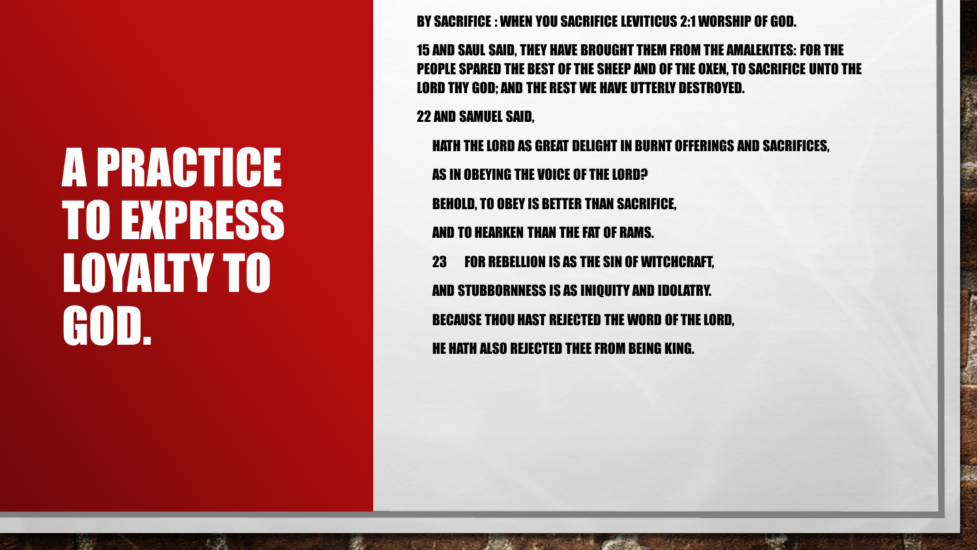## A PRACTICE TO EXPRESS LOYALTY TO GOD.

 $L_{\rm max}$ 

 $\mathbb{R}^n$ 

BY SACRIFICE : WHEN YOU SACRIFICE LEVITICUS 2:1 WORSHIP OF GOD.

15 AND SAUL SAID, THEY HAVE BROUGHT THEM FROM THE AMALEKITES: FOR THE PEOPLE SPARED THE BEST OF THE SHEEP AND OF THE OXEN, TO SACRIFICE UNTO THE LORD THY GOD; AND THE REST WE HAVE UTTERLY DESTROYED.

22 AND SAMUEL SAID,

HATH THE LORD AS GREAT DELIGHT IN BURNT OFFERINGS AND SACRIFICES, AS IN OBEYING THE VOICE OF THE LORD? BEHOLD, TO OBEY IS BETTER THAN SACRIFICE, AND TO HEARKEN THAN THE FAT OF RAMS. 23 FOR REBELLION IS AS THE SIN OF WITCHCRAFT, AND STUBBORNNESS IS AS INIQUITY AND IDOLATRY. BECAUSE THOU HAST REJECTED THE WORD OF THE LORD, HE HATH ALSO REJECTED THEE FROM BEING KING.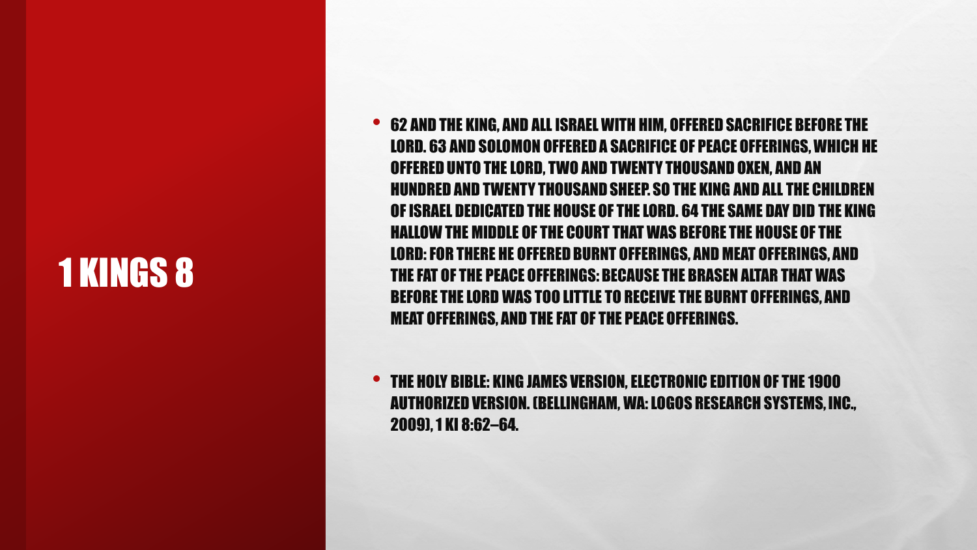### 1 KINGS 8

• <sup>62</sup> AND THE KING, AND ALL ISRAEL WITH HIM, OFFERED SACRIFICE BEFORE THE LORD. 63 AND SOLOMON OFFERED A SACRIFICE OF PEACE OFFERINGS, WHICH HE OFFERED UNTO THE LORD, TWO AND TWENTY THOUSAND OXEN, AND AN HUNDRED AND TWENTY THOUSAND SHEEP. SO THE KING AND ALL THE CHILDREN OF ISRAEL DEDICATED THE HOUSE OF THE LORD. 64 THE SAME DAY DID THE KING HALLOW THE MIDDLE OF THE COURT THAT WAS BEFORE THE HOUSE OF THE LORD: FOR THERE HE OFFERED BURNT OFFERINGS, AND MEAT OFFERINGS, AND THE FAT OF THE PEACE OFFERINGS: BECAUSE THE BRASEN ALTAR THAT WAS BEFORE THE LORD WAS TOO LITTLE TO RECEIVE THE BURNT OFFERINGS, AND MEAT OFFERINGS, AND THE FAT OF THE PEACE OFFERINGS.

• THE HOLY BIBLE: KING JAMES VERSION, ELECTRONIC EDITION OF THE 1900 AUTHORIZED VERSION. (BELLINGHAM, WA: LOGOS RESEARCH SYSTEMS, INC., 2009), 1 KI 8:62–64.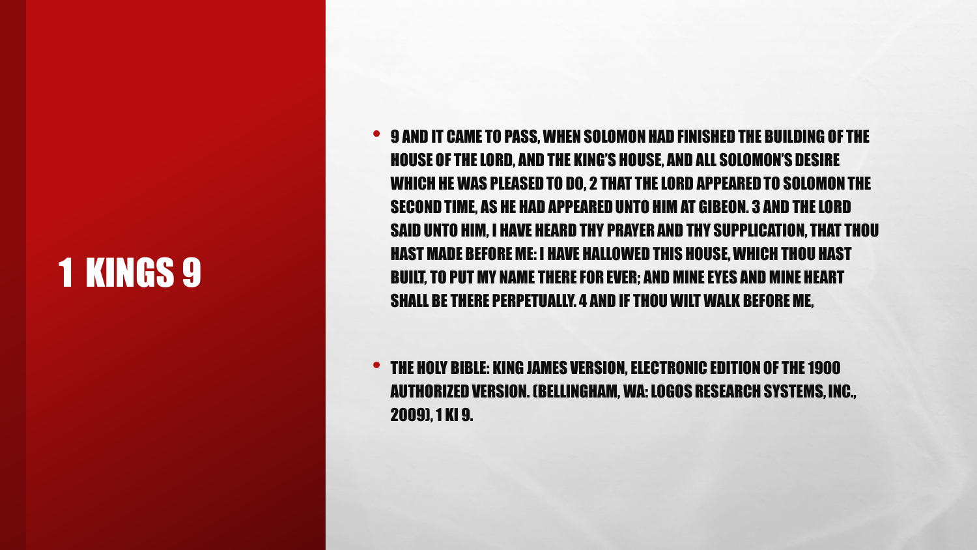### 1 KINGS 9

• 9 AND IT CAME TO PASS, WHEN SOLOMON HAD FINISHED THE BUILDING OF THE HOUSE OF THE LORD, AND THE KING'S HOUSE, AND ALL SOLOMON'S DESIRE WHICH HE WAS PLEASED TO DO, 2 THAT THE LORD APPEARED TO SOLOMON THE SECOND TIME, AS HE HAD APPEARED UNTO HIM AT GIBEON. 3 AND THE LORD SAID UNTO HIM, I HAVE HEARD THY PRAYER AND THY SUPPLICATION, THAT THOU HAST MADE BEFORE ME: I HAVE HALLOWED THIS HOUSE, WHICH THOU HAST BUILT, TO PUT MY NAME THERE FOR EVER; AND MINE EYES AND MINE HEART SHALL BE THERE PERPETUALLY. 4 AND IF THOU WILT WALK BEFORE ME,

• THE HOLY BIBLE: KING JAMES VERSION, ELECTRONIC EDITION OF THE 1900 AUTHORIZED VERSION. (BELLINGHAM, WA: LOGOS RESEARCH SYSTEMS, INC., 2009), 1 KI 9.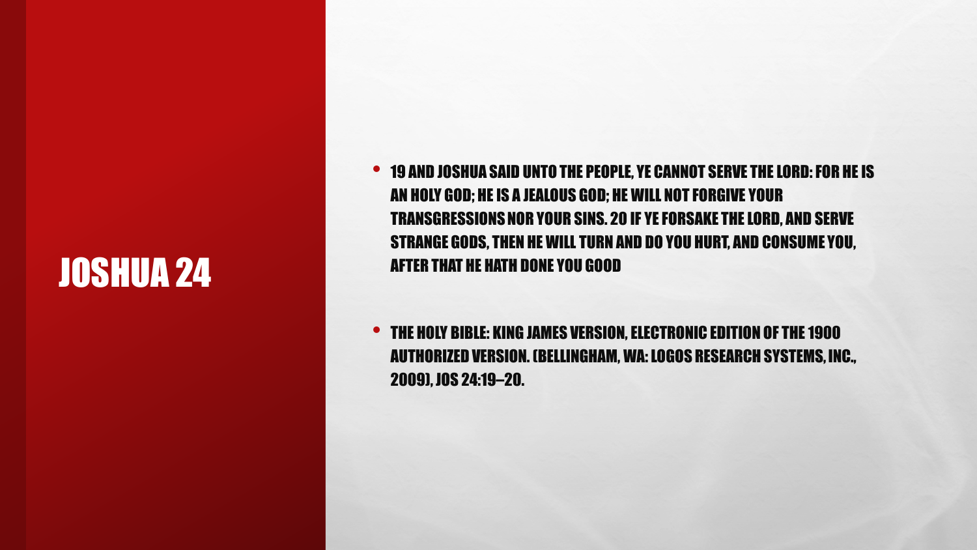### JOSHUA 24

• <sup>19</sup> AND JOSHUA SAID UNTO THE PEOPLE, YE CANNOT SERVE THE LORD: FOR HE IS AN HOLY GOD; HE IS A JEALOUS GOD; HE WILL NOT FORGIVE YOUR TRANSGRESSIONS NOR YOUR SINS. 20 IF YE FORSAKE THE LORD, AND SERVE STRANGE GODS, THEN HE WILL TURN AND DO YOU HURT, AND CONSUME YOU, AFTER THAT HE HATH DONE YOU GOOD

• THE HOLY BIBLE: KING JAMES VERSION, ELECTRONIC EDITION OF THE 1900 AUTHORIZED VERSION. (BELLINGHAM, WA: LOGOS RESEARCH SYSTEMS, INC., 2009), JOS 24:19–20.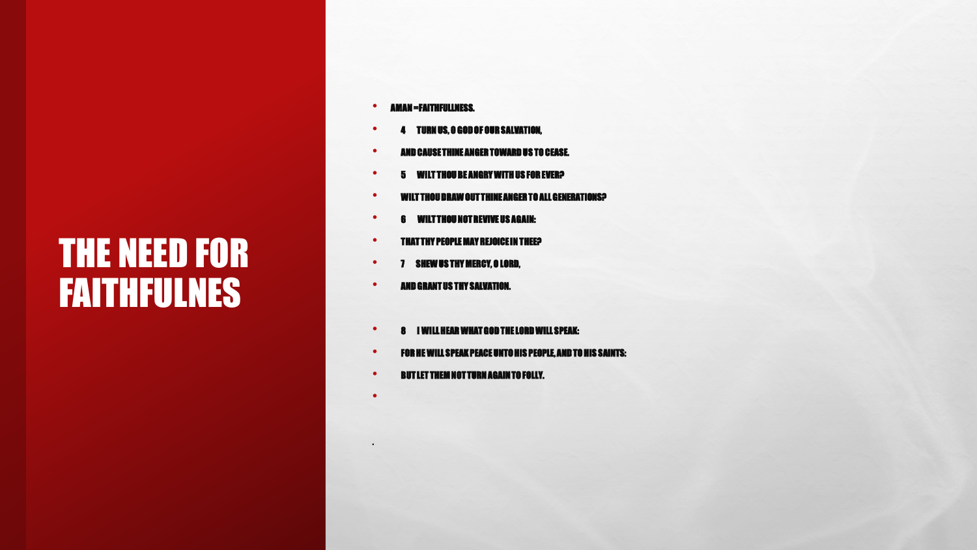### THE NEED FOR FAITHFULNES

- AMAN =FAITHFULLNESS.
- <sup>4</sup> TURN US, O GOD OF OUR SALVATION,
- AND CAUSE THINE ANGER TOWARD US TO CEASE.
- <sup>5</sup> WILT THOU BE ANGRY WITH US FOR EVER?
- WILT THOU DRAW OUT THINE ANGER TO ALL GENERATIONS?
- <sup>6</sup> WILT THOU NOT REVIVE US AGAIN:
- THAT THY PEOPLE MAY REJOICE IN THEE?
- <sup>7</sup> SHEW US THY MERCY, O LORD,
- AND GRANT US THY SALVATION.
- <sup>8</sup> I WILL HEAR WHAT GOD THE LORD WILL SPEAK:
- FOR HE WILL SPEAK PEACE UNTO HIS PEOPLE, AND TO HIS SAINTS:
- BUT LET THEM NOT TURN AGAIN TO FOLLY.

•

.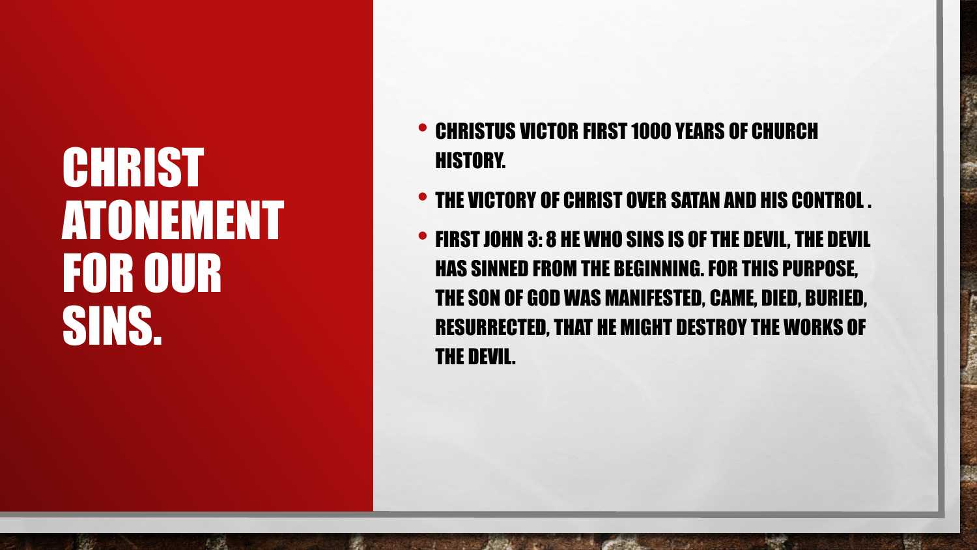# **CHRIST** ATONEMENT FOR OUR SINS.

 $L_{\rm{1.50\%}}$ 

 $\mathbb{R}^n$ 

- CHRISTUS VICTOR FIRST 1000 YEARS OF CHURCH HISTORY.
- THE VICTORY OF CHRIST OVER SATAN AND HIS CONTROL .
- FIRST JOHN 3: 8 HE WHO SINS IS OF THE DEVIL, THE DEVIL HAS SINNED FROM THE BEGINNING. FOR THIS PURPOSE, THE SON OF GOD WAS MANIFESTED, CAME, DIED, BURIED, RESURRECTED, THAT HE MIGHT DESTROY THE WORKS OF THE DEVIL.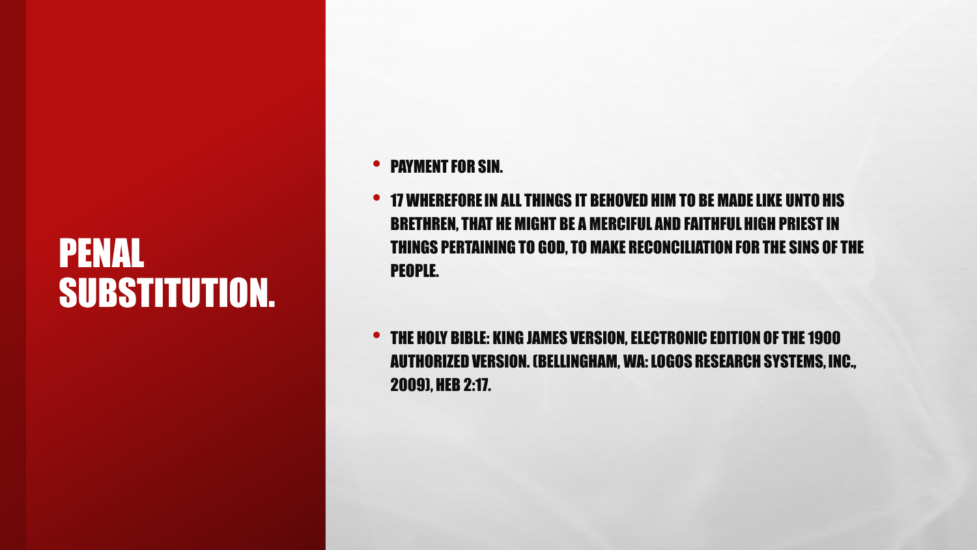### PENAL SUBSTITUTION.

- PAYMENT FOR SIN.
- <sup>17</sup> WHEREFORE IN ALL THINGS IT BEHOVED HIM TO BE MADE LIKE UNTO HIS BRETHREN, THAT HE MIGHT BE A MERCIFUL AND FAITHFUL HIGH PRIEST IN THINGS PERTAINING TO GOD, TO MAKE RECONCILIATION FOR THE SINS OF THE PEOPLE.
- THE HOLY BIBLE: KING JAMES VERSION, ELECTRONIC EDITION OF THE 1900 AUTHORIZED VERSION. (BELLINGHAM, WA: LOGOS RESEARCH SYSTEMS, INC., 2009), HEB 2:17.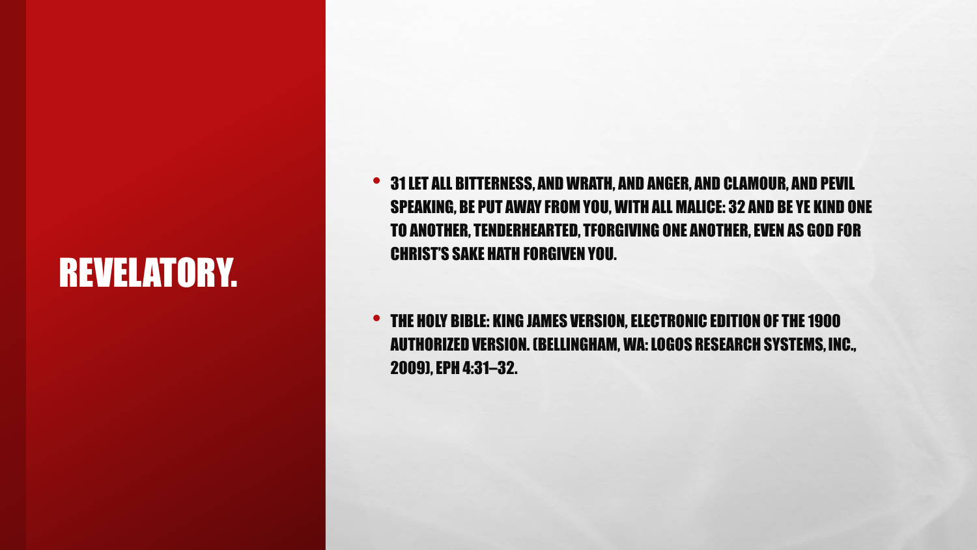### REVELATORY.

• 31LET ALL BITTERNESS, AND WRATH, AND ANGER, AND CLAMOUR, AND PEVIL SPEAKING, BE PUT AWAY FROM YOU, WITH ALL MALICE: 32 AND BE YE KIND ONE TO ANOTHER, TENDERHEARTED, TFORGIVING ONE ANOTHER, EVEN AS GOD FOR CHRIST'S SAKE HATH FORGIVEN YOU.

• THE HOLY BIBLE: KING JAMES VERSION, ELECTRONIC EDITION OF THE 1900 AUTHORIZED VERSION. (BELLINGHAM, WA: LOGOS RESEARCH SYSTEMS, INC., 2009), EPH 4:31–32.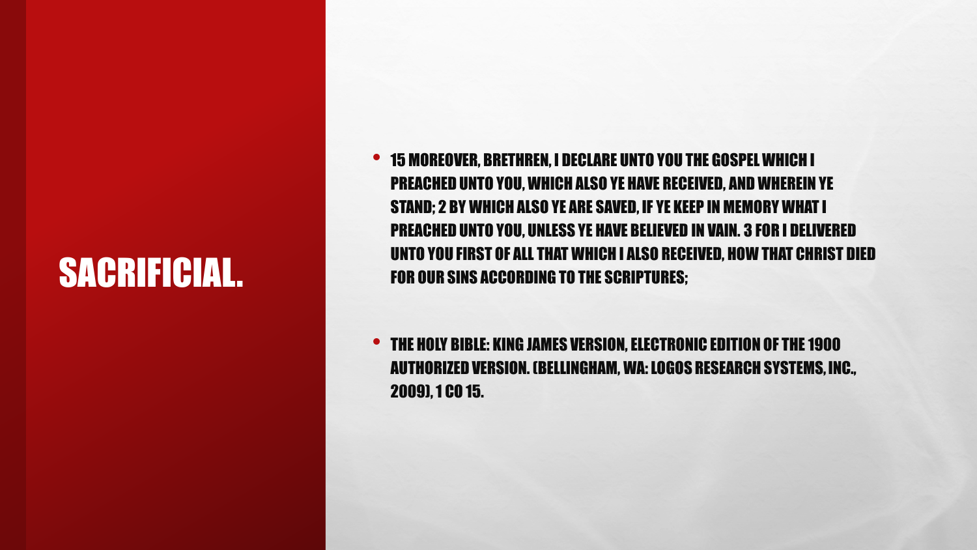### SACRIFICIAL.

- 15 MOREOVER, BRETHREN, I DECLARE UNTO YOU THE GOSPEL WHICH I PREACHED UNTO YOU, WHICH ALSO YE HAVE RECEIVED, AND WHEREIN YE STAND; 2 BY WHICH ALSO YE ARE SAVED, IF YE KEEP IN MEMORY WHAT I PREACHED UNTO YOU, UNLESS YE HAVE BELIEVED IN VAIN. 3 FOR I DELIVERED UNTO YOU FIRST OF ALL THAT WHICH I ALSO RECEIVED, HOW THAT CHRIST DIED FOR OUR SINS ACCORDING TO THE SCRIPTURES;
- THE HOLY BIBLE: KING JAMES VERSION, ELECTRONIC EDITION OF THE 1900 AUTHORIZED VERSION. (BELLINGHAM, WA: LOGOS RESEARCH SYSTEMS, INC., 2009), 1 CO 15.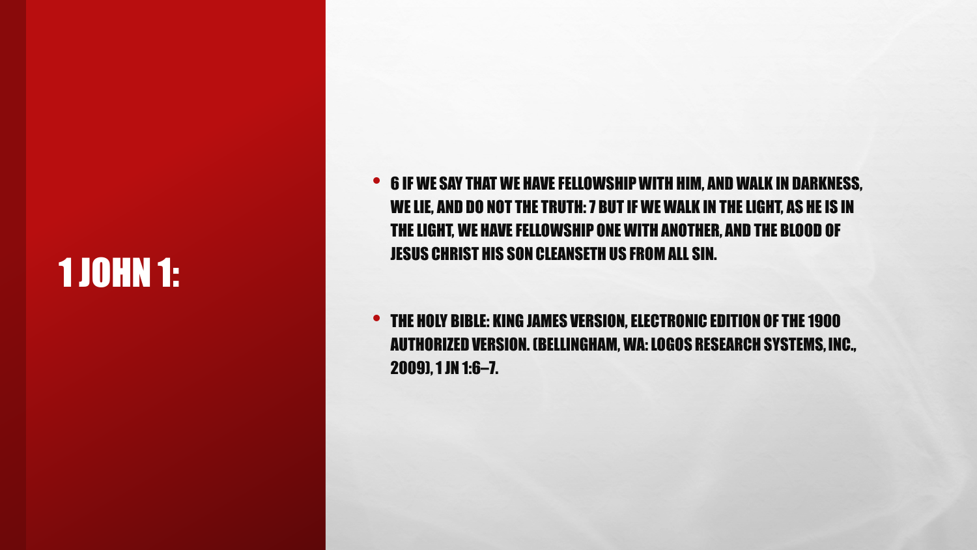### 1 JOHN 1:

• <sup>6</sup> IF WE SAY THAT WE HAVE FELLOWSHIP WITH HIM, AND WALK IN DARKNESS, WE LIE, AND DO NOT THE TRUTH: 7 BUT IF WE WALK IN THE LIGHT, AS HE IS IN THE LIGHT, WE HAVE FELLOWSHIP ONE WITH ANOTHER, AND THE BLOOD OF JESUS CHRIST HIS SON CLEANSETH US FROM ALL SIN.

• THE HOLY BIBLE: KING JAMES VERSION, ELECTRONIC EDITION OF THE 1900 AUTHORIZED VERSION. (BELLINGHAM, WA: LOGOS RESEARCH SYSTEMS, INC., 2009), 1 JN 1:6–7.